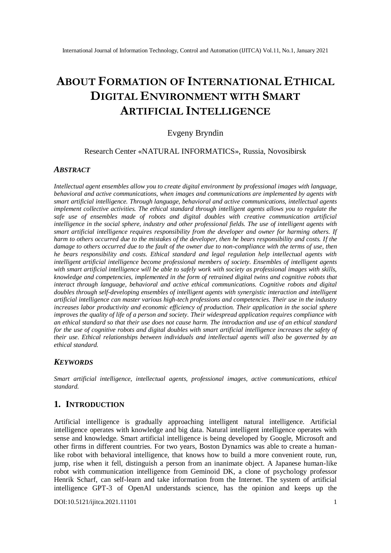# **ABOUT FORMATION OF INTERNATIONAL ETHICAL DIGITAL ENVIRONMENT WITH SMART ARTIFICIAL INTELLIGENCE**

## Evgeny Bryndin

#### Research Center «NATURAL INFORMATICS», Russia, Novosibirsk

#### *ABSTRACT*

*Intellectual agent ensembles allow you to create digital environment by professional images with language, behavioral and active communications, when images and communications are implemented by agents with smart artificial intelligence. Through language, behavioral and active communications, intellectual agents implement collective activities. The ethical standard through intelligent agents allows you to regulate the safe use of ensembles made of robots and digital doubles with creative communication artificial intelligence in the social sphere, industry and other professional fields. The use of intelligent agents with smart artificial intelligence requires responsibility from the developer and owner for harming others. If harm to others occurred due to the mistakes of the developer, then he bears responsibility and costs. If the damage to others occurred due to the fault of the owner due to non-compliance with the terms of use, then he bears responsibility and costs. Ethical standard and legal regulation help intellectual agents with intelligent artificial intelligence become professional members of society. Ensembles of intelligent agents with smart artificial intelligence will be able to safely work with society as professional images with skills, knowledge and competencies, implemented in the form of retrained digital twins and cognitive robots that interact through language, behavioral and active ethical communications. Cognitive robots and digital doubles through self-developing ensembles of intelligent agents with synergistic interaction and intelligent artificial intelligence can master various high-tech professions and competencies. Their use in the industry increases labor productivity and economic efficiency of production. Their application in the social sphere improves the quality of life of a person and society. Their widespread application requires compliance with an ethical standard so that their use does not cause harm. The introduction and use of an ethical standard for the use of cognitive robots and digital doubles with smart artificial intelligence increases the safety of their use. Ethical relationships between individuals and intellectual agents will also be governed by an ethical standard.*

#### *KEYWORDS*

*Smart artificial intelligence, intellectual agents, professional images, active communications, ethical standard.*

## **1. INTRODUCTION**

Artificial intelligence is gradually approaching intelligent natural intelligence. Artificial intelligence operates with knowledge and big data. Natural intelligent intelligence operates with sense and knowledge. Smart artificial intelligence is being developed by Google, Microsoft and other firms in different countries. For two years, Boston Dynamics was able to create a humanlike robot with behavioral intelligence, that knows how to build a more convenient route, run, jump, rise when it fell, distinguish a person from an inanimate object. A Japanese human-like robot with communication intelligence from Geminoid DK, a clone of psychology professor Henrik Scharf, can self-learn and take information from the Internet. The system of artificial intelligence GPT-3 of OpenAI understands science, has the opinion and keeps up the

[DOI:10.5121/ijitca.2021.11101](https://doi.org/10.5121/ijitca.2021.11101) 1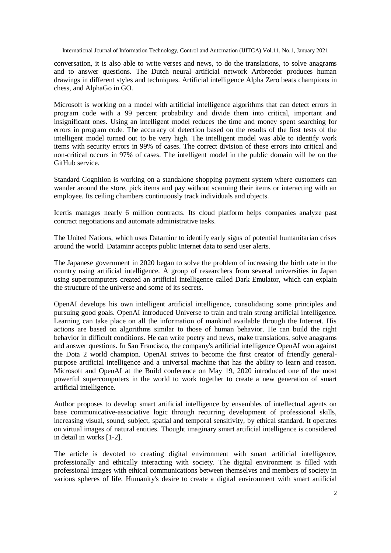conversation, it is also able to write verses and news, to do the translations, to solve anagrams and to answer questions. The Dutch neural artificial network Artbreeder produces human drawings in different styles and techniques. Artificial intelligence Alpha Zero beats champions in chess, and AlphaGo in GO.

Microsoft is working on a model with artificial intelligence algorithms that can detect errors in program code with a 99 percent probability and divide them into critical, important and insignificant ones. Using an intelligent model reduces the time and money spent searching for errors in program code. The accuracy of detection based on the results of the first tests of the intelligent model turned out to be very high. The intelligent model was able to identify work items with security errors in 99% of cases. The correct division of these errors into critical and non-critical occurs in 97% of cases. The intelligent model in the public domain will be on the GitHub service.

Standard Cognition is working on a standalone shopping payment system where customers can wander around the store, pick items and pay without scanning their items or interacting with an employee. Its ceiling chambers continuously track individuals and objects.

Icertis manages nearly 6 million contracts. Its cloud platform helps companies analyze past contract negotiations and automate administrative tasks.

The United Nations, which uses Dataminr to identify early signs of potential humanitarian crises around the world. Dataminr accepts public Internet data to send user alerts.

The Japanese government in 2020 began to solve the problem of increasing the birth rate in the country using artificial intelligence. A group of researchers from several universities in Japan using supercomputers created an artificial intelligence called Dark Emulator, which can explain the structure of the universe and some of its secrets.

OpenAI develops his own intelligent artificial intelligence, consolidating some principles and pursuing good goals. OpenAI introduced Universe to train and train strong artificial intelligence. Learning can take place on all the information of mankind available through the Internet. His actions are based on algorithms similar to those of human behavior. He can build the right behavior in difficult conditions. He can write poetry and news, make translations, solve anagrams and answer questions. In San Francisco, the company's artificial intelligence OpenAI won against the Dota 2 world champion. OpenAI strives to become the first creator of friendly generalpurpose artificial intelligence and a universal machine that has the ability to learn and reason. Microsoft and OpenAI at the Build conference on May 19, 2020 introduced one of the most powerful supercomputers in the world to work together to create a new generation of smart artificial intelligence.

Author proposes to develop smart artificial intelligence by ensembles of intellectual agents on base communicative-associative logic through recurring development of professional skills, increasing visual, sound, subject, spatial and temporal sensitivity, by ethical standard. It operates on virtual images of natural entities. Thought imaginary smart artificial intelligence is considered in detail in works [1-2].

The article is devoted to creating digital environment with smart artificial intelligence, professionally and ethically interacting with society. The digital environment is filled with professional images with ethical communications between themselves and members of society in various spheres of life. Humanity's desire to create a digital environment with smart artificial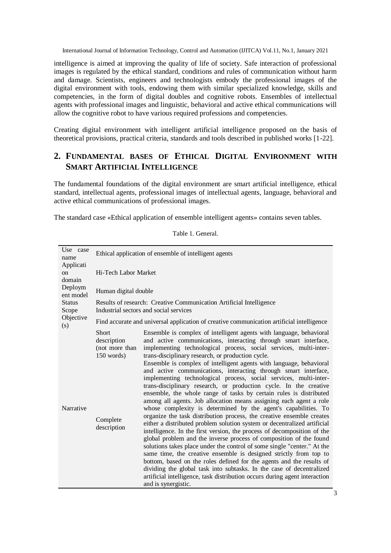intelligence is aimed at improving the quality of life of society. Safe interaction of professional images is regulated by the ethical standard, conditions and rules of communication without harm and damage. Scientists, engineers and technologists embody the professional images of the digital environment with tools, endowing them with similar specialized knowledge, skills and competencies, in the form of digital doubles and cognitive robots. Ensembles of intellectual agents with professional images and linguistic, behavioral and active ethical communications will allow the cognitive robot to have various required professions and competencies.

Creating digital environment with intelligent artificial intelligence proposed on the basis of theoretical provisions, practical criteria, standards and tools described in published works [1-22].

# **2. FUNDAMENTAL BASES OF ETHICAL DIGITAL ENVIRONMENT WITH SMART ARTIFICIAL INTELLIGENCE**

The fundamental foundations of the digital environment are smart artificial intelligence, ethical standard, intellectual agents, professional images of intellectual agents, language, behavioral and active ethical communications of professional images.

The standard case «Ethical application of ensemble intelligent agents» contains seven tables.

| Use case<br>name                     | Ethical application of ensemble of intelligent agents                                  |                                                                                                                                                                                                                                                                                                                                                                                                                                                                                                                                                                                                                                                                                                                                                                                                                                                                                                                                                                                                                                                                                                                                                                                                                                                                                                                                                                                                                                                                               |  |  |  |  |
|--------------------------------------|----------------------------------------------------------------------------------------|-------------------------------------------------------------------------------------------------------------------------------------------------------------------------------------------------------------------------------------------------------------------------------------------------------------------------------------------------------------------------------------------------------------------------------------------------------------------------------------------------------------------------------------------------------------------------------------------------------------------------------------------------------------------------------------------------------------------------------------------------------------------------------------------------------------------------------------------------------------------------------------------------------------------------------------------------------------------------------------------------------------------------------------------------------------------------------------------------------------------------------------------------------------------------------------------------------------------------------------------------------------------------------------------------------------------------------------------------------------------------------------------------------------------------------------------------------------------------------|--|--|--|--|
| Applicati<br><sub>on</sub><br>domain | Hi-Tech Labor Market                                                                   |                                                                                                                                                                                                                                                                                                                                                                                                                                                                                                                                                                                                                                                                                                                                                                                                                                                                                                                                                                                                                                                                                                                                                                                                                                                                                                                                                                                                                                                                               |  |  |  |  |
| Deploym<br>ent model                 | Human digital double                                                                   |                                                                                                                                                                                                                                                                                                                                                                                                                                                                                                                                                                                                                                                                                                                                                                                                                                                                                                                                                                                                                                                                                                                                                                                                                                                                                                                                                                                                                                                                               |  |  |  |  |
| <b>Status</b><br>Scope               |                                                                                        | Results of research: Creative Communication Artificial Intelligence<br>Industrial sectors and social services                                                                                                                                                                                                                                                                                                                                                                                                                                                                                                                                                                                                                                                                                                                                                                                                                                                                                                                                                                                                                                                                                                                                                                                                                                                                                                                                                                 |  |  |  |  |
| (s)                                  |                                                                                        | Find accurate and universal application of creative communication artificial intelligence                                                                                                                                                                                                                                                                                                                                                                                                                                                                                                                                                                                                                                                                                                                                                                                                                                                                                                                                                                                                                                                                                                                                                                                                                                                                                                                                                                                     |  |  |  |  |
| Objective<br>Narrative               | <b>Short</b><br>description<br>(not more than<br>150 words)<br>Complete<br>description | Ensemble is complex of intelligent agents with language, behavioral<br>and active communications, interacting through smart interface,<br>implementing technological process, social services, multi-inter-<br>trans-disciplinary research, or production cycle.<br>Ensemble is complex of intelligent agents with language, behavioral<br>and active communications, interacting through smart interface,<br>implementing technological process, social services, multi-inter-<br>trans-disciplinary research, or production cycle. In the creative<br>ensemble, the whole range of tasks by certain rules is distributed<br>among all agents. Job allocation means assigning each agent a role<br>whose complexity is determined by the agent's capabilities. To<br>organize the task distribution process, the creative ensemble creates<br>either a distributed problem solution system or decentralized artificial<br>intelligence. In the first version, the process of decomposition of the<br>global problem and the inverse process of composition of the found<br>solutions takes place under the control of some single "center." At the<br>same time, the creative ensemble is designed strictly from top to<br>bottom, based on the roles defined for the agents and the results of<br>dividing the global task into subtasks. In the case of decentralized<br>artificial intelligence, task distribution occurs during agent interaction<br>and is synergistic. |  |  |  |  |

Table 1. General.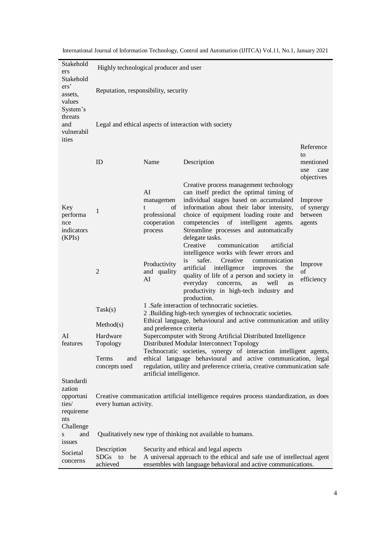| Stakehold<br>ers                                                                                                                                                                                                                                                            | Highly technological producer and user                                                                                                                                                                                        |                                                                                                                                                         |                                                                                                                                                                                                                                                                                                                                       |                                                           |  |  |
|-----------------------------------------------------------------------------------------------------------------------------------------------------------------------------------------------------------------------------------------------------------------------------|-------------------------------------------------------------------------------------------------------------------------------------------------------------------------------------------------------------------------------|---------------------------------------------------------------------------------------------------------------------------------------------------------|---------------------------------------------------------------------------------------------------------------------------------------------------------------------------------------------------------------------------------------------------------------------------------------------------------------------------------------|-----------------------------------------------------------|--|--|
| Stakehold<br>ers <sup>2</sup><br>assets,<br>values<br>System's                                                                                                                                                                                                              | Reputation, responsibility, security                                                                                                                                                                                          |                                                                                                                                                         |                                                                                                                                                                                                                                                                                                                                       |                                                           |  |  |
| threats<br>and<br>vulnerabil<br>ities                                                                                                                                                                                                                                       | Legal and ethical aspects of interaction with society                                                                                                                                                                         |                                                                                                                                                         |                                                                                                                                                                                                                                                                                                                                       |                                                           |  |  |
|                                                                                                                                                                                                                                                                             | ID                                                                                                                                                                                                                            | Name                                                                                                                                                    | Description                                                                                                                                                                                                                                                                                                                           | Reference<br>to<br>mentioned<br>use<br>case<br>objectives |  |  |
| Key<br>performa<br>nce<br>indicators<br>(KPIs)                                                                                                                                                                                                                              | 1                                                                                                                                                                                                                             | AI<br>managemen<br>t<br>of<br>professional<br>cooperation<br>process                                                                                    | Creative process management technology<br>can itself predict the optimal timing of<br>individual stages based on accumulated<br>information about their labor intensity,<br>choice of equipment loading route and<br>competencies of intelligent<br>agents.<br>Streamline processes and automatically<br>delegate tasks.              | Improve<br>of synergy<br>between<br>agents                |  |  |
|                                                                                                                                                                                                                                                                             | $\overline{2}$                                                                                                                                                                                                                | Productivity<br>and quality<br>AI                                                                                                                       | Creative<br>communication<br>artificial<br>intelligence works with fewer errors and<br>safer.<br>Creative<br>is<br>communication<br>artificial<br>intelligence<br>improves<br>the<br>quality of life of a person and society in<br>everyday<br>concerns,<br>as<br>well<br>as<br>productivity in high-tech industry and<br>production. | Improve<br>of<br>efficiency                               |  |  |
|                                                                                                                                                                                                                                                                             | Task(s)                                                                                                                                                                                                                       |                                                                                                                                                         | 1 .Safe interaction of technocratic societies.<br>2 .Building high-tech synergies of technocratic societies.                                                                                                                                                                                                                          |                                                           |  |  |
|                                                                                                                                                                                                                                                                             | Method(s)                                                                                                                                                                                                                     | and preference criteria                                                                                                                                 | Ethical language, behavioural and active communication and utility                                                                                                                                                                                                                                                                    |                                                           |  |  |
| AI<br>features                                                                                                                                                                                                                                                              | Hardware<br>Topology                                                                                                                                                                                                          |                                                                                                                                                         | Supercomputer with Strong Artificial Distributed Intelligence<br>Distributed Modular Interconnect Topology                                                                                                                                                                                                                            |                                                           |  |  |
| Technocratic societies, synergy of interaction intelligent agents,<br>Terms<br>ethical language behavioural and active communication, legal<br>and<br>regulation, utility and preference criteria, creative communication safe<br>concepts used<br>artificial intelligence. |                                                                                                                                                                                                                               |                                                                                                                                                         |                                                                                                                                                                                                                                                                                                                                       |                                                           |  |  |
| Standardi<br>zation<br>opportuni<br>ties/<br>requireme<br>nts<br>Challenge<br>and<br>S                                                                                                                                                                                      | every human activity.                                                                                                                                                                                                         | Creative communication artificial intelligence requires process standardization, as does<br>Qualitatively new type of thinking not available to humans. |                                                                                                                                                                                                                                                                                                                                       |                                                           |  |  |
| issues<br>Societal<br>concerns                                                                                                                                                                                                                                              | Security and ethical and legal aspects<br>Description<br>SDGs to<br>A universal approach to the ethical and safe use of intellectual agent<br>be<br>achieved<br>ensembles with language behavioral and active communications. |                                                                                                                                                         |                                                                                                                                                                                                                                                                                                                                       |                                                           |  |  |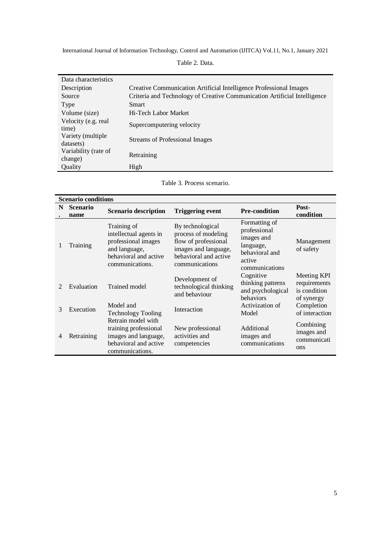| Data characteristics |                                                                           |  |  |
|----------------------|---------------------------------------------------------------------------|--|--|
| Description          | Creative Communication Artificial Intelligence Professional Images        |  |  |
| Source               | Criteria and Technology of Creative Communication Artificial Intelligence |  |  |
| Type                 | <b>Smart</b>                                                              |  |  |
| Volume (size)        | Hi-Tech Labor Market                                                      |  |  |
| Velocity (e.g. real  |                                                                           |  |  |
| time)                | Supercomputering velocity                                                 |  |  |
| Variety (multiple)   | <b>Streams of Professional Images</b>                                     |  |  |
| datasets)            |                                                                           |  |  |
| Variability (rate of | Retraining                                                                |  |  |
| change)              |                                                                           |  |  |
| Quality              | High                                                                      |  |  |

Table 2. Data.

|  |  | Table 3. Process scenario. |
|--|--|----------------------------|
|--|--|----------------------------|

|   | <b>Scenario conditions</b> |                                                                                                                           |                                                                                                                                    |                                                                                                        |                                                           |  |  |
|---|----------------------------|---------------------------------------------------------------------------------------------------------------------------|------------------------------------------------------------------------------------------------------------------------------------|--------------------------------------------------------------------------------------------------------|-----------------------------------------------------------|--|--|
| N | <b>Scenario</b><br>name    | <b>Scenario description</b>                                                                                               | <b>Triggering event</b>                                                                                                            | <b>Pre-condition</b>                                                                                   | Post-<br>condition                                        |  |  |
|   | Training                   | Training of<br>intellectual agents in<br>professional images<br>and language,<br>behavioral and active<br>communications. | By technological<br>process of modeling<br>flow of professional<br>images and language,<br>behavioral and active<br>communications | Formatting of<br>professional<br>images and<br>language,<br>behavioral and<br>active<br>communications | Management<br>of safety                                   |  |  |
| 2 | Evaluation                 | Trained model                                                                                                             | Development of<br>technological thinking<br>and behaviour                                                                          | Cognitive<br>thinking patterns<br>and psychological<br>behaviors                                       | Meeting KPI<br>requirements<br>is condition<br>of synergy |  |  |
| 3 | Execution                  | Model and<br><b>Technology Tooling</b>                                                                                    | Interaction                                                                                                                        | Activization of<br>Model                                                                               | Completion<br>of interaction                              |  |  |
| 4 | Retraining                 | Retrain model with<br>training professional<br>images and language,<br>behavioral and active<br>communications.           | New professional<br>activities and<br>competencies                                                                                 | Additional<br>images and<br>communications                                                             | Combining<br>images and<br>communicati<br>ons             |  |  |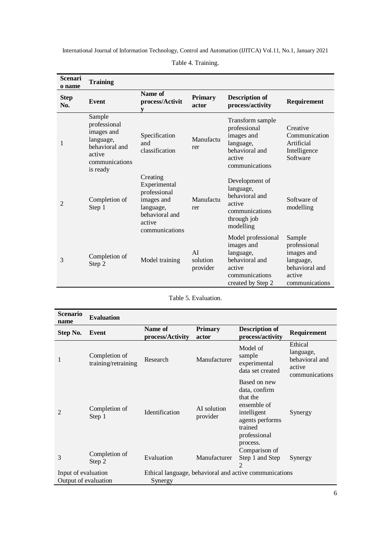| <b>Scenari</b><br>o name | <b>Training</b>                                                                                             |                                                                                                                   |                            |                                                                                                                  |                                                                                                 |
|--------------------------|-------------------------------------------------------------------------------------------------------------|-------------------------------------------------------------------------------------------------------------------|----------------------------|------------------------------------------------------------------------------------------------------------------|-------------------------------------------------------------------------------------------------|
| <b>Step</b><br>No.       | Event                                                                                                       | Name of<br>process/Activit<br>v                                                                                   | Primary<br>actor           | <b>Description of</b><br>process/activity                                                                        | Requirement                                                                                     |
| 1                        | Sample<br>professional<br>images and<br>language,<br>behavioral and<br>active<br>communications<br>is ready | Specification<br>and<br>classification                                                                            | Manufactu<br>rer           | Transform sample<br>professional<br>images and<br>language,<br>behavioral and<br>active<br>communications        | Creative<br>Communication<br>Artificial<br>Intelligence<br>Software                             |
| $\overline{2}$           | Completion of<br>Step 1                                                                                     | Creating<br>Experimental<br>professional<br>images and<br>language,<br>behavioral and<br>active<br>communications | Manufactu<br>rer           | Development of<br>language,<br>behavioral and<br>active<br>communications<br>through job<br>modelling            | Software of<br>modelling                                                                        |
| 3                        | Completion of<br>Step 2                                                                                     | Model training                                                                                                    | AI<br>solution<br>provider | Model professional<br>images and<br>language,<br>behavioral and<br>active<br>communications<br>created by Step 2 | Sample<br>professional<br>images and<br>language,<br>behavioral and<br>active<br>communications |

Table 4. Training.

Table 5. Evaluation.

| <b>Scenario</b><br>name                     | <b>Evaluation</b>                    |                             |                         |                                                                                                                                   |                                                                    |
|---------------------------------------------|--------------------------------------|-----------------------------|-------------------------|-----------------------------------------------------------------------------------------------------------------------------------|--------------------------------------------------------------------|
| Step No.                                    | Event                                | Name of<br>process/Activity | <b>Primary</b><br>actor | <b>Description of</b><br>process/activity                                                                                         | Requirement                                                        |
| 1                                           | Completion of<br>training/retraining | Research                    | Manufacturer            | Model of<br>sample<br>experimental<br>data set created                                                                            | Ethical<br>language,<br>behavioral and<br>active<br>communications |
| 2                                           | Completion of<br>Step 1              | <b>Identification</b>       | AI solution<br>provider | Based on new<br>data, confirm<br>that the<br>ensemble of<br>intelligent<br>agents performs<br>trained<br>professional<br>process. | Synergy                                                            |
| 3                                           | Completion of<br>Step 2              | Evaluation                  | Manufacturer            | Comparison of<br>Step 1 and Step<br>2                                                                                             | Synergy                                                            |
| Input of evaluation<br>Output of evaluation |                                      | Synergy                     |                         | Ethical language, behavioral and active communications                                                                            |                                                                    |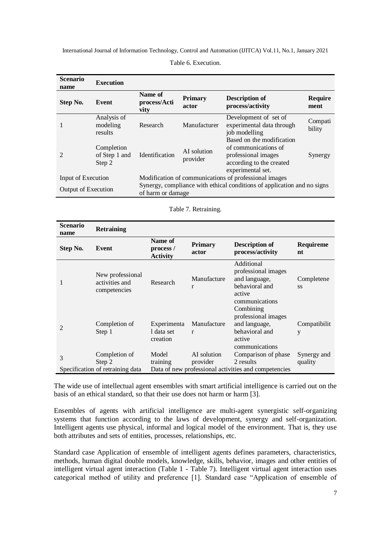| <b>Scenario</b><br>name | <b>Execution</b>                      |                                                                                              |                         |                                                                                                                           |                        |
|-------------------------|---------------------------------------|----------------------------------------------------------------------------------------------|-------------------------|---------------------------------------------------------------------------------------------------------------------------|------------------------|
| Step No.                | Event                                 | Name of<br>process/Acti<br>vity                                                              | <b>Primary</b><br>actor | <b>Description of</b><br>process/activity                                                                                 | <b>Require</b><br>ment |
|                         | Analysis of<br>modeling<br>results    | Research                                                                                     | Manufacturer            | Development of set of<br>experimental data through<br>job modelling                                                       | Compati<br>bility      |
|                         | Completion<br>of Step 1 and<br>Step 2 | <b>Identification</b>                                                                        | AI solution<br>provider | Based on the modification<br>of communications of<br>professional images<br>according to the created<br>experimental set. | Synergy                |
| Input of Execution      |                                       | Modification of communications of professional images                                        |                         |                                                                                                                           |                        |
| Output of Execution     |                                       | Synergy, compliance with ethical conditions of application and no signs<br>of harm or damage |                         |                                                                                                                           |                        |

Table 6. Execution.

Table 7. Retraining.

| Scenario<br>name | <b>Retraining</b>                                  |                                         |                         |                                                                                                  |                         |
|------------------|----------------------------------------------------|-----------------------------------------|-------------------------|--------------------------------------------------------------------------------------------------|-------------------------|
| Step No.         | Event                                              | Name of<br>process /<br><b>Activity</b> | <b>Primary</b><br>actor | <b>Description of</b><br>process/activity                                                        | <b>Requireme</b><br>nt  |
| 1                | New professional<br>activities and<br>competencies | Research                                | Manufacture<br>r        | Additional<br>professional images<br>and language,<br>behavioral and<br>active<br>communications | Completene<br><b>SS</b> |
| 2                | Completion of<br>Step 1                            | Experimenta<br>1 data set<br>creation   | Manufacture<br>r        | Combining<br>professional images<br>and language,<br>behavioral and<br>active<br>communications  | Compatibilit<br>y       |
| 3                | Completion of<br>Step 2                            | Model<br>training                       | AI solution<br>provider | Comparison of phase<br>2 results                                                                 | Synergy and<br>quality  |
|                  | Specification of retraining data                   |                                         |                         | Data of new professional activities and competencies                                             |                         |

The wide use of intellectual agent ensembles with smart artificial intelligence is carried out on the basis of an ethical standard, so that their use does not harm or harm [3].

Ensembles of agents with artificial intelligence are multi-agent synergistic self-organizing systems that function according to the laws of development, synergy and self-organization. Intelligent agents use physical, informal and logical model of the environment. That is, they use both attributes and sets of entities, processes, relationships, etc.

Standard case Application of ensemble of intelligent agents defines parameters, characteristics, methods, human digital double models, knowledge, skills, behavior, images and other entities of intelligent virtual agent interaction (Table 1 - Table 7). Intelligent virtual agent interaction uses categorical method of utility and preference [1]. Standard case "Application of ensemble of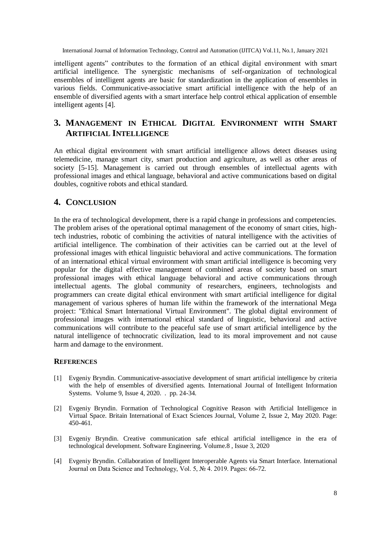intelligent agents" contributes to the formation of an ethical digital environment with smart artificial intelligence. The synergistic mechanisms of self-organization of technological ensembles of intelligent agents are basic for standardization in the application of ensembles in various fields. Communicative-associative smart artificial intelligence with the help of an ensemble of diversified agents with a smart interface help control ethical application of ensemble intelligent agents [4].

## **3. MANAGEMENT IN ETHICAL DIGITAL ENVIRONMENT WITH SMART ARTIFICIAL INTELLIGENCE**

An ethical digital environment with smart artificial intelligence allows detect diseases using telemedicine, manage smart city, smart production and agriculture, as well as other areas of society [5-15]. Management is carried out through ensembles of intellectual agents with professional images and ethical language, behavioral and active communications based on digital doubles, cognitive robots and ethical standard.

## **4. CONCLUSION**

In the era of technological development, there is a rapid change in professions and competencies. The problem arises of the operational optimal management of the economy of smart cities, hightech industries, robotic of combining the activities of natural intelligence with the activities of artificial intelligence. The combination of their activities can be carried out at the level of professional images with ethical linguistic behavioral and active communications. The formation of an international ethical virtual environment with smart artificial intelligence is becoming very popular for the digital effective management of combined areas of society based on smart professional images with ethical language behavioral and active communications through intellectual agents. The global community of researchers, engineers, technologists and programmers can create digital ethical environment with smart artificial intelligence for digital management of various spheres of human life within the framework of the international Mega project: "Ethical Smart International Virtual Environment". The global digital environment of professional images with international ethical standard of linguistic, behavioral and active communications will contribute to the peaceful safe use of smart artificial intelligence by the natural intelligence of technocratic civilization, lead to its moral improvement and not cause harm and damage to the environment.

### **REFERENCES**

- [1] Evgeniy Bryndin. Communicative-associative development of smart artificial intelligence by criteria with the help of ensembles of diversified agents. International Journal of Intelligent Information Systems. Volume 9, Issue 4, 2020. . pp. 24-34.
- [2] Evgeniy Bryndin. Formation of Technological Cognitive Reason with Artificial Intelligence in Virtual Space. Britain International of Exact Sciences Journal, Volume 2, Issue 2, May 2020. Page: 450-461.
- [3] Evgeniy Bryndin. Creative communication safe ethical artificial intelligence in the era of technological development. Software Engineering. Volume.8 , Issue 3, 2020
- [4] Evgeniy Bryndin. Collaboration of Intelligent Interoperable Agents via Smart Interface. International Journal on Data Science and Technology, Vol. 5, № 4. 2019. Pages: 66-72.